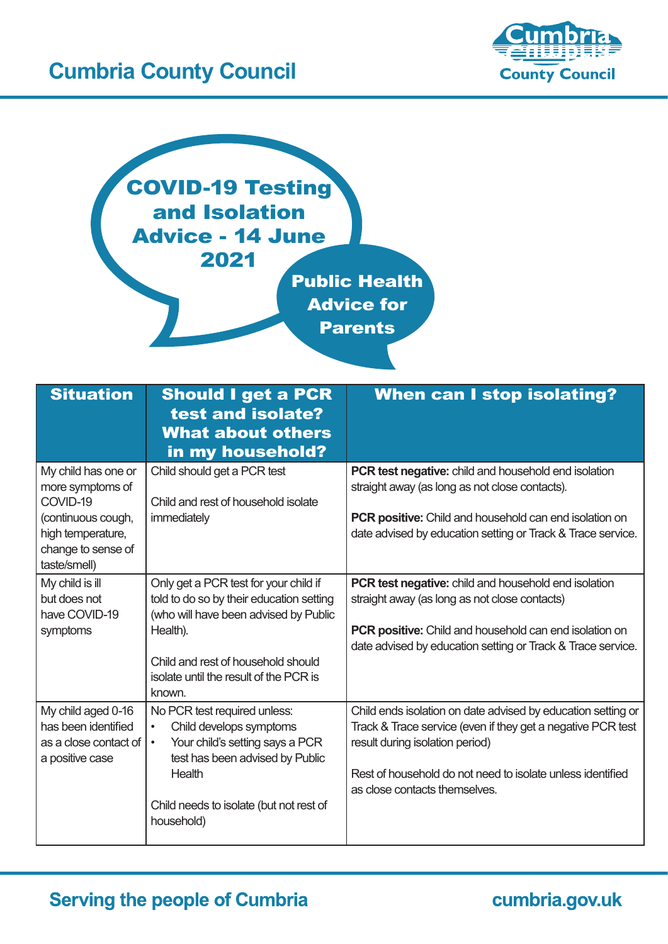## **Cumbria County Council**





| <b>Situation</b>                                                                                                                     | <b>Should I get a PCR</b><br>test and isolate?<br><b>What about others</b><br>in my household?                                                                                                                                   | <b>When can I stop isolating?</b>                                                                                                                                                                                                                             |
|--------------------------------------------------------------------------------------------------------------------------------------|----------------------------------------------------------------------------------------------------------------------------------------------------------------------------------------------------------------------------------|---------------------------------------------------------------------------------------------------------------------------------------------------------------------------------------------------------------------------------------------------------------|
| My child has one or<br>more symptoms of<br>COVID-19<br>(continuous cough,<br>high temperature,<br>change to sense of<br>taste/smell) | Child should get a PCR test<br>Child and rest of household isolate<br>immediately                                                                                                                                                | <b>PCR test negative:</b> child and household end isolation<br>straight away (as long as not close contacts).<br><b>PCR positive:</b> Child and household can end isolation on<br>date advised by education setting or Track & Trace service.                 |
| My child is ill<br>but does not<br>have COVID-19<br>symptoms                                                                         | Only get a PCR test for your child if<br>told to do so by their education setting<br>(who will have been advised by Public<br>Health).<br>Child and rest of household should<br>isolate until the result of the PCR is<br>known. | <b>PCR test negative:</b> child and household end isolation<br>straight away (as long as not close contacts)<br><b>PCR positive:</b> Child and household can end isolation on<br>date advised by education setting or Track & Trace service.                  |
| My child aged 0-16<br>has been identified<br>as a close contact of<br>a positive case                                                | No PCR test required unless:<br>Child develops symptoms<br>$\bullet$<br>Your child's setting says a PCR<br>$\bullet$<br>test has been advised by Public<br>Health<br>Child needs to isolate (but not rest of<br>household)       | Child ends isolation on date advised by education setting or<br>Track & Trace service (even if they get a negative PCR test<br>result during isolation period)<br>Rest of household do not need to isolate unless identified<br>as close contacts themselves. |

## **Serving the people of Cumbria**

cumbria.gov.uk